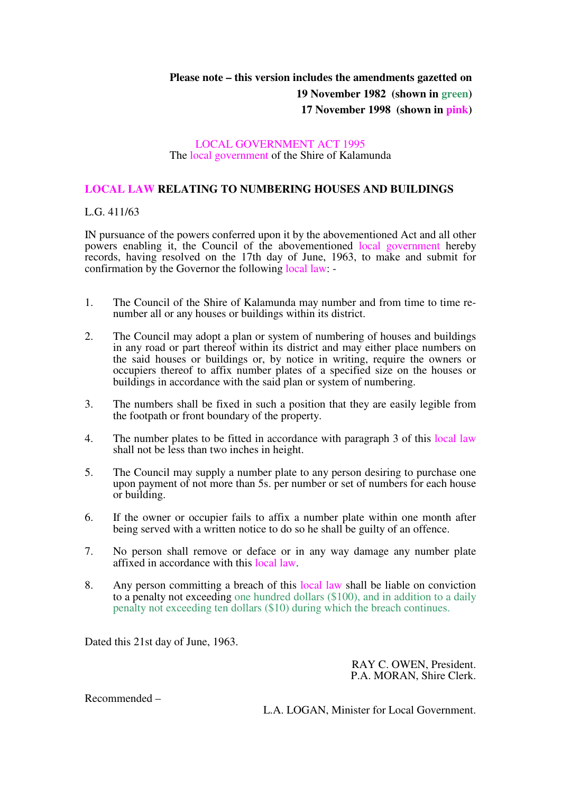## **Please note – this version includes the amendments gazetted on**

**19 November 1982 (shown in green)** 

**17 November 1998 (shown in pink)** 

## LOCAL GOVERNMENT ACT 1995 The local government of the Shire of Kalamunda

## **LOCAL LAW RELATING TO NUMBERING HOUSES AND BUILDINGS**

## L.G. 411/63

IN pursuance of the powers conferred upon it by the abovementioned Act and all other powers enabling it, the Council of the abovementioned local government hereby records, having resolved on the 17th day of June, 1963, to make and submit for confirmation by the Governor the following local law: -

- 1. The Council of the Shire of Kalamunda may number and from time to time renumber all or any houses or buildings within its district.
- 2. The Council may adopt a plan or system of numbering of houses and buildings in any road or part thereof within its district and may either place numbers on the said houses or buildings or, by notice in writing, require the owners or occupiers thereof to affix number plates of a specified size on the houses or buildings in accordance with the said plan or system of numbering.
- 3. The numbers shall be fixed in such a position that they are easily legible from the footpath or front boundary of the property.
- 4. The number plates to be fitted in accordance with paragraph 3 of this local law shall not be less than two inches in height.
- 5. The Council may supply a number plate to any person desiring to purchase one upon payment of not more than 5s. per number or set of numbers for each house or building.
- 6. If the owner or occupier fails to affix a number plate within one month after being served with a written notice to do so he shall be guilty of an offence.
- 7. No person shall remove or deface or in any way damage any number plate affixed in accordance with this local law.
- 8. Any person committing a breach of this local law shall be liable on conviction to a penalty not exceeding one hundred dollars (\$100), and in addition to a daily penalty not exceeding ten dollars (\$10) during which the breach continues.

Dated this 21st day of June, 1963.

RAY C. OWEN, President. P.A. MORAN, Shire Clerk.

Recommended –

L.A. LOGAN, Minister for Local Government.